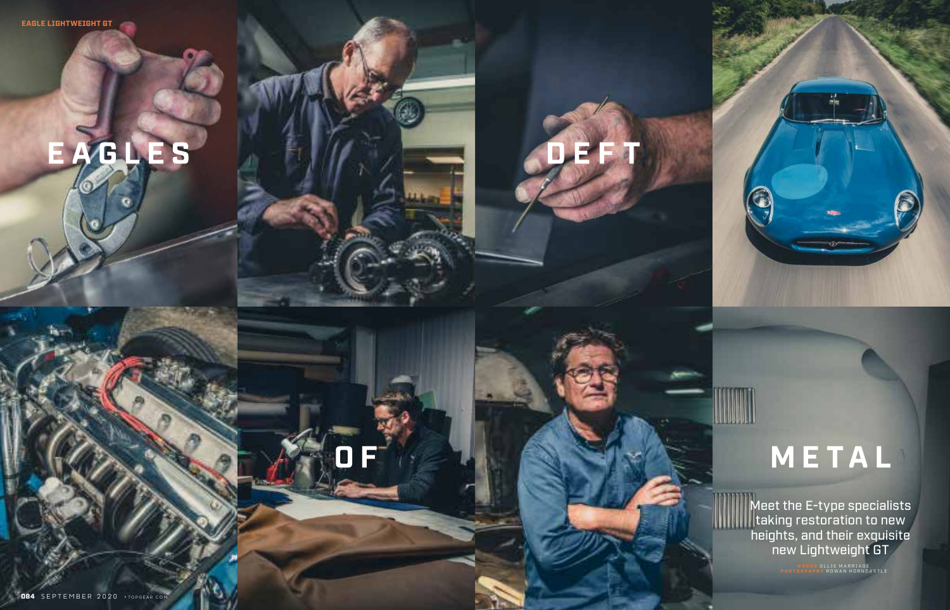Meet the E-type specialists taking restoration to new heights, and their exquisite new Lightweight GT

 $\mathbf{r}$ 

WORDS OLLIE MARRIAGE<br>PHOTOGRAPHY ROWAN HORNCASTLE

## EAGLES

**DB4** SEPTEMBER 2020 > TOPGEAR.COM

## METAL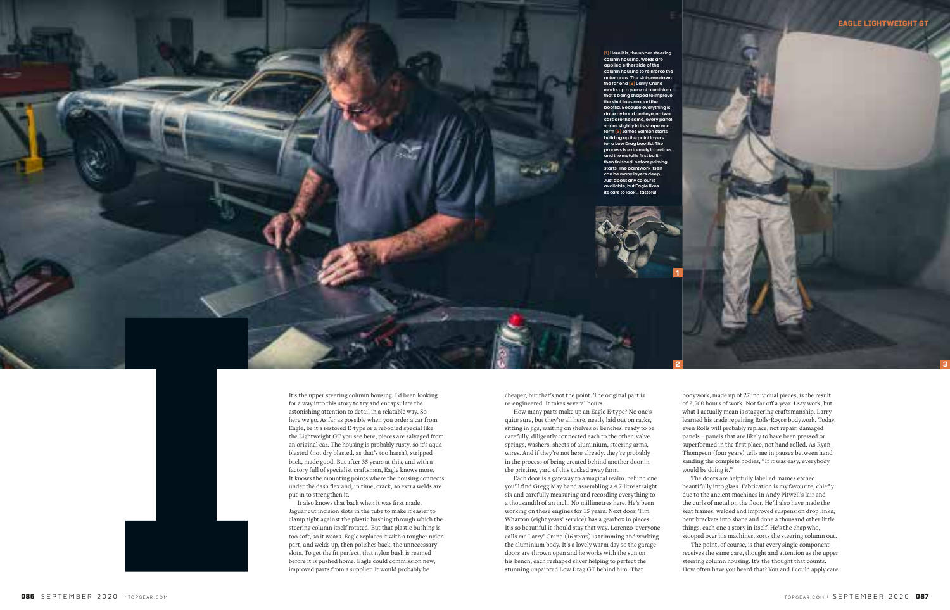cheaper, but that's not the point. The original part is re-engineered. It takes several hours.

How many parts make up an Eagle E-type? No one's quite sure, but they're all here, neatly laid out on racks, sitting in jigs, waiting on shelves or benches, ready to be carefully, diligently connected each to the other: valve springs, washers, sheets of aluminium, steering arms, wires. And if they're not here already, they're probably in the process of being created behind another door in the pristine, yard of this tucked away farm.

Each door is a gateway to a magical realm: behind one you'll find Gregg May hand assembling a 4.7-litre straight six and carefully measuring and recording everything to a thousandth of an inch. No millimetres here. He's been working on these engines for 15 years. Next door, Tim Wharton (eight years' service) has a gearbox in pieces. It's so beautiful it should stay that way. Lorenzo 'everyone calls me Larry' Crane (16 years) is trimming and working the aluminium body. It's a lovely warm day so the garage doors are thrown open and he works with the sun on his bench, each reshaped sliver helping to perfect the stunning unpainted Low Drag GT behind him. That

bodywork, made up of 27 individual pieces, is the result of 2,500 hours of work. Not far off a year. I say work, but what I actually mean is staggering craftsmanship. Larry learned his trade repairing Rolls-Royce bodywork. Today, even Rolls will probably replace, not repair, damaged panels – panels that are likely to have been pressed or superformed in the first place, not hand rolled. As Ryan Thompson (four years) tells me in pauses between hand sanding the complete bodies, "If it was easy, everybody would be doing it."

The doors are helpfully labelled, names etched beautifully into glass. Fabrication is my favourite, chiefly due to the ancient machines in Andy Pitwell's lair and the curls of metal on the floor. He'll also have made the seat frames, welded and improved suspension drop links, bent brackets into shape and done a thousand other little things, each one a story in itself. He's the chap who, stooped over his machines, sorts the steering column out.

The point, of course, is that every single component receives the same care, thought and attention as the upper steering column housing. It's the thought that counts. How often have you heard that? You and I could apply care

It's the upper steering column housing. I'd been looking for a way into this story to try and encapsulate the astonishing attention to detail in a relatable way. So here we go. As far as possible when you order a car from Eagle, be it a restored E-type or a rebodied special like the Lightweight GT you see here, pieces are salvaged from an original car. The housing is probably rusty, so it's aqua blasted (not dry blasted, as that's too harsh), stripped back, made good. But after 35 years at this, and with a factory full of specialist craftsmen, Eagle knows more. It knows the mounting points where the housing connects under the dash flex and, in time, crack, so extra welds are put in to strengthen it.

It also knows that back when it was first made, Jaguar cut incision slots in the tube to make it easier to clamp tight against the plastic bushing through which the steering column itself rotated. But that plastic bushing is too soft, so it wears. Eagle replaces it with a tougher nylon part, and welds up, then polishes back, the unnecessary slots. To get the fit perfect, that nylon bush is reamed before it is pushed home. Eagle could commission new, improved parts from a supplier. It would probably be



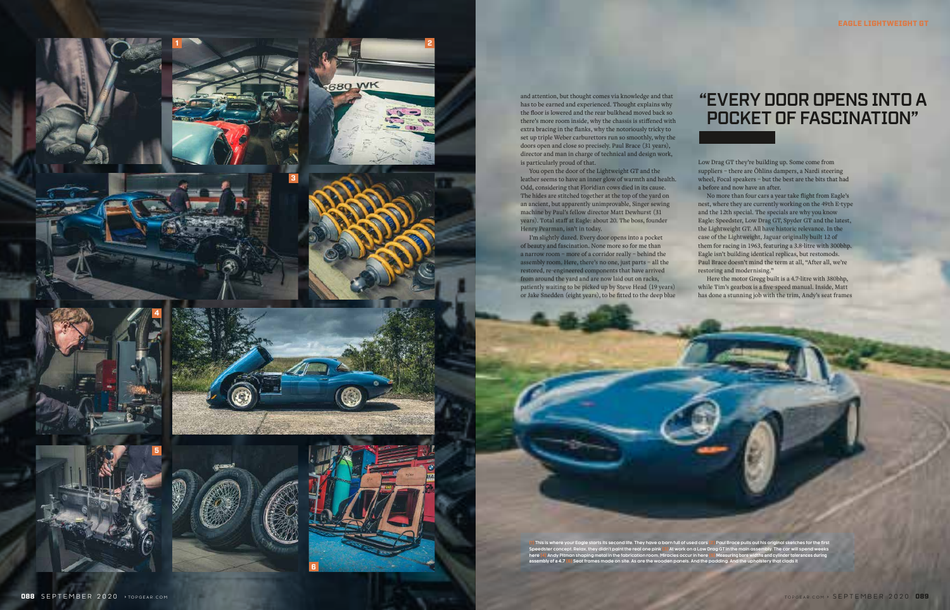

and attention, but thought comes via knowledge and that has to be earned and experienced. Thought explains why the floor is lowered and the rear bulkhead moved back so there's more room inside, why the chassis is stiffened with extra bracing in the flanks, why the notoriously tricky to set up triple Weber carburettors run so smoothly, why the doors open and close so precisely. Paul Brace (31 years), director and man in charge of technical and design work, is particularly proud of that.

You open the door of the Lightweight GT and the leather seems to have an inner glow of warmth and health. Odd, considering that Floridian cows died in its cause. The hides are stitched together at the top of the yard on an ancient, but apparently unimprovable, Singer sewing machine by Paul's fellow director Matt Dewhurst (31 years). Total staff at Eagle: about 20. The boss, founder Henry Pearman, isn't in today.

No more than four cars a year take flight from Eagle's nest, where they are currently working on the 49th E-type and the 12th special. The specials are why you know Eagle: Speedster, Low Drag GT, Spyder GT and the latest, the Lightweight GT. All have historic relevance. In the case of the Lightweight, Jaguar originally built 12 of them for racing in 1963, featuring a 3.8-litre with 300bhp. Eagle isn't building identical replicas, but restomods. Paul Brace doesn't mind the term at all, "After all, we're restoring and modernising."

I'm slightly dazed. Every door opens into a pocket of beauty and fascination. None more so for me than a narrow room – more of a corridor really – behind the assembly room. Here, there's no one, just parts – all the restored, re-engineered components that have arrived from around the yard and are now laid out on racks, patiently waiting to be picked up by Steve Head (19 years) or Jake Snedden (eight years), to be fitted to the deep blue

Low Drag GT they're building up. Some come from suppliers – there are Öhlins dampers, a Nardi steering wheel, Focal speakers – but the best are the bits that had a before and now have an after.

Here the motor Gregg built is a 4.7-litre with 380bhp, while Tim's gearbox is a five-speed manual. Inside, Matt has done a stunning job with the trim, Andy's seat frames

**(1) This is where your Eagle starts its second life. They have a barn full of used cars (2) Paul Brace pulls out his original sketches for the first Speedster concept. Relax, they didn't paint the real one pink (3) At work on a Low Drag GT in the main assembly. The car will spend weeks here (4) Andy Pitman shaping metal in the fabrication room. Miracles occur in here (5) Measuring bore widths and cylinder tolerances during** 



## "EVERY DOOR OPENS INTO A POCKET OF FASCINATION"